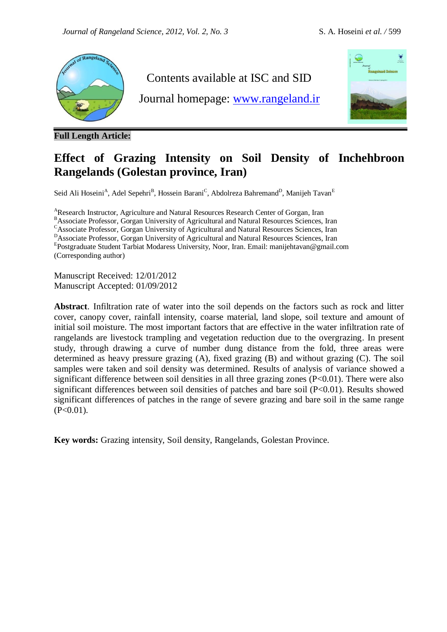

**Full Length Article:**

## Contents available at ISC and SID

Journal homepage: [www.rangeland.ir](http://www.rangeland.ir/)



# **Effect of Grazing Intensity on Soil Density of Inchehbroon Rangelands (Golestan province, Iran)**

Seid Ali Hoseini<sup>A</sup>, Adel Sepehri<sup>B</sup>, Hossein Barani<sup>C</sup>, Abdolreza Bahremand<sup>D</sup>, Manijeh Tavan<sup>E</sup>

<sup>A</sup>Research Instructor, Agriculture and Natural Resources Research Center of Gorgan, Iran BAssociate Professor, Gorgan University of Agricultural and Natural Resources Sciences, Iran CAssociate Professor, Gorgan University of Agricultural and Natural Resources Sciences, Iran <sup>D</sup>Associate Professor, Gorgan University of Agricultural and Natural Resources Sciences, Iran <sup>E</sup>Postgraduate Student Tarbiat Modaress University, Noor, Iran. Email: manijehtavan@gmail.com (Corresponding author)

Manuscript Received: 12/01/2012 Manuscript Accepted: 01/09/2012

**Abstract**. Infiltration rate of water into the soil depends on the factors such as rock and litter cover, canopy cover, rainfall intensity, coarse material, land slope, soil texture and amount of initial soil moisture. The most important factors that are effective in the water infiltration rate of rangelands are livestock trampling and vegetation reduction due to the overgrazing. In present study, through drawing a curve of number dung distance from the fold, three areas were determined as heavy pressure grazing (A), fixed grazing (B) and without grazing (C). The soil samples were taken and soil density was determined. Results of analysis of variance showed a significant difference between soil densities in all three grazing zones  $(P<0.01)$ . There were also significant differences between soil densities of patches and bare soil (P<0.01). Results showed significant differences of patches in the range of severe grazing and bare soil in the same range  $(P<0.01)$ .

**Key words:** Grazing intensity, Soil density, Rangelands, Golestan Province.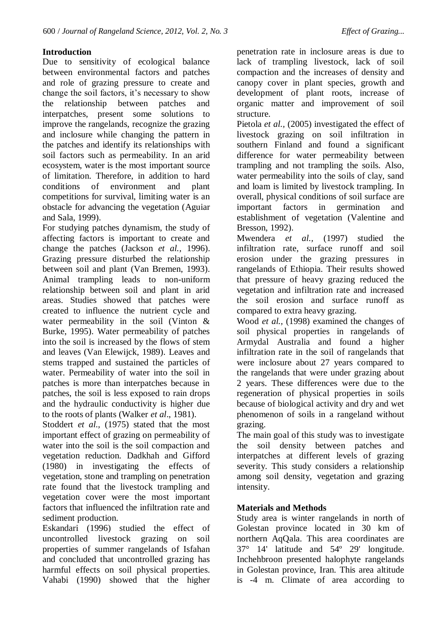### **Introduction**

Due to sensitivity of ecological balance between environmental factors and patches and role of grazing pressure to create and change the soil factors, it's necessary to show the relationship between patches and interpatches, present some solutions to improve the rangelands, recognize the grazing and inclosure while changing the pattern in the patches and identify its relationships with soil factors such as permeability. In an arid ecosystem, water is the most important source of limitation. Therefore, in addition to hard conditions of environment and plant competitions for survival, limiting water is an obstacle for advancing the vegetation (Aguiar and Sala, 1999).

For studying patches dynamism, the study of affecting factors is important to create and change the patches (Jackson *et al.,* 1996). Grazing pressure disturbed the relationship between soil and plant (Van Bremen, 1993). Animal trampling leads to non-uniform relationship between soil and plant in arid areas. Studies showed that patches were created to influence the nutrient cycle and water permeability in the soil (Vinton & Burke, 1995). Water permeability of patches into the soil is increased by the flows of stem and leaves (Van Elewijck, 1989). Leaves and stems trapped and sustained the particles of water. Permeability of water into the soil in patches is more than interpatches because in patches, the soil is less exposed to rain drops and the hydraulic conductivity is higher due to the roots of plants (Walker *et al*., 1981).

Stoddert *et al.,* (1975) stated that the most important effect of grazing on permeability of water into the soil is the soil compaction and vegetation reduction. Dadkhah and Gifford (1980) in investigating the effects of vegetation, stone and trampling on penetration rate found that the livestock trampling and vegetation cover were the most important factors that influenced the infiltration rate and sediment production.

Eskandari (1996) studied the effect of uncontrolled livestock grazing on soil properties of summer rangelands of Isfahan and concluded that uncontrolled grazing has harmful effects on soil physical properties. Vahabi (1990) showed that the higher penetration rate in inclosure areas is due to lack of trampling livestock, lack of soil compaction and the increases of density and canopy cover in plant species, growth and development of plant roots, increase of organic matter and improvement of soil structure.

Pietola *et al.,* (2005) investigated the effect of livestock grazing on soil infiltration in southern Finland and found a significant difference for water permeability between trampling and not trampling the soils. Also, water permeability into the soils of clay, sand and loam is limited by livestock trampling. In overall, physical conditions of soil surface are important factors in germination and establishment of vegetation (Valentine and Bresson, 1992).

Mwendera *et al.,* (1997) studied the infiltration rate, surface runoff and soil erosion under the grazing pressures in rangelands of Ethiopia. Their results showed that pressure of heavy grazing reduced the vegetation and infiltration rate and increased the soil erosion and surface runoff as compared to extra heavy grazing.

Wood *et al.,* (1998) examined the changes of soil physical properties in rangelands of Armydal Australia and found a higher infiltration rate in the soil of rangelands that were inclosure about 27 years compared to the rangelands that were under grazing about 2 years. These differences were due to the regeneration of physical properties in soils because of biological activity and dry and wet phenomenon of soils in a rangeland without grazing.

The main goal of this study was to investigate the soil density between patches and interpatches at different levels of grazing severity. This study considers a relationship among soil density, vegetation and grazing intensity.

### **Materials and Methods**

Study area is winter rangelands in north of Golestan province located in 30 km of northern AqQala. This area coordinates are 37° 14' latitude and 54º 29' longitude. Inchehbroon presented halophyte rangelands in Golestan province, Iran. This area altitude is -4 m. Climate of area according to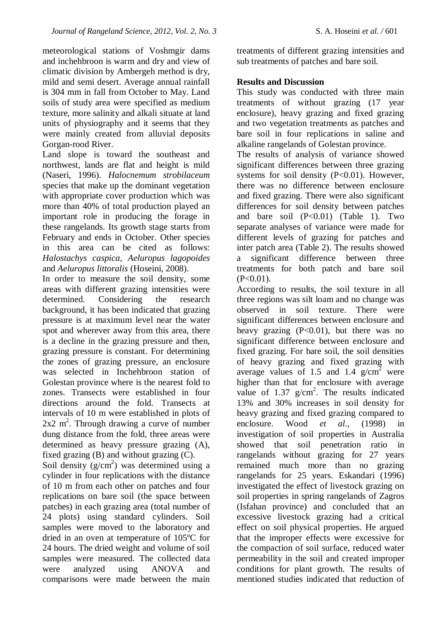meteorological stations of Voshmgir dams and inchehbroon is warm and dry and view of climatic division by Ambergeh method is dry, mild and semi desert. Average annual rainfall is 304 mm in fall from October to May. Land soils of study area were specified as medium texture, more salinity and alkali situate at land units of physiography and it seems that they were mainly created from alluvial deposits Gorgan-rood River.

Land slope is toward the southeast and northwest, lands are flat and height is mild (Naseri, 1996). *Halocnemum strobilaceum* species that make up the dominant vegetation with appropriate cover production which was more than 40% of total production played an important role in producing the forage in these rangelands. Its growth stage starts from February and ends in October. Other species in this area can be cited as follows: *Halostachys caspica, Aeluropus lagopoides* and *Aeluropus littoralis* (Hoseini, 2008).

In order to measure the soil density, some areas with different grazing intensities were determined. Considering the research background, it has been indicated that grazing pressure is at maximum level near the water spot and wherever away from this area, there is a decline in the grazing pressure and then, grazing pressure is constant. For determining the zones of grazing pressure, an enclosure was selected in Inchehbroon station of Golestan province where is the nearest fold to zones. Transects were established in four directions around the fold. Transects at intervals of 10 m were established in plots of  $2x2$  m<sup>2</sup>. Through drawing a curve of number dung distance from the fold, three areas were determined as heavy pressure grazing (A), fixed grazing (B) and without grazing (C).

Soil density  $(g/cm<sup>2</sup>)$  was determined using a cylinder in four replications with the distance of 10 m from each other on patches and four replications on bare soil (the space between patches) in each grazing area (total number of 24 plots) using standard cylinders. Soil samples were moved to the laboratory and dried in an oven at temperature of 105ºC for 24 hours. The dried weight and volume of soil samples were measured. The collected data were analyzed using ANOVA and comparisons were made between the main

treatments of different grazing intensities and sub treatments of patches and bare soil.

#### **Results and Discussion**

This study was conducted with three main treatments of without grazing (17 year enclosure), heavy grazing and fixed grazing and two vegetation treatments as patches and bare soil in four replications in saline and alkaline rangelands of Golestan province.

The results of analysis of variance showed significant differences between three grazing systems for soil density  $(P<0.01)$ . However, there was no difference between enclosure and fixed grazing. There were also significant differences for soil density between patches and bare soil  $(P<0.01)$  (Table 1). Two separate analyses of variance were made for different levels of grazing for patches and inter patch area (Table 2). The results showed a significant difference between three treatments for both patch and bare soil  $(P<0.01)$ .

According to results, the soil texture in all three regions was silt loam and no change was observed in soil texture. There were significant differences between enclosure and heavy grazing  $(P<0.01)$ , but there was no significant difference between enclosure and fixed grazing. For bare soil, the soil densities of heavy grazing and fixed grazing with average values of 1.5 and 1.4  $g/cm^2$  were higher than that for enclosure with average value of  $1.37$  g/cm<sup>2</sup>. The results indicated 13% and 30% increases in soil density for heavy grazing and fixed grazing compared to enclosure. Wood *et al.*, (1998) in investigation of soil properties in Australia showed that soil penetration ratio in rangelands without grazing for 27 years remained much more than no grazing rangelands for 25 years. Eskandari (1996) investigated the effect of livestock grazing on soil properties in spring rangelands of Zagros (Isfahan province) and concluded that an excessive livestock grazing had a critical effect on soil physical properties. He argued that the improper effects were excessive for the compaction of soil surface, reduced water permeability in the soil and created improper conditions for plant growth. The results of mentioned studies indicated that reduction of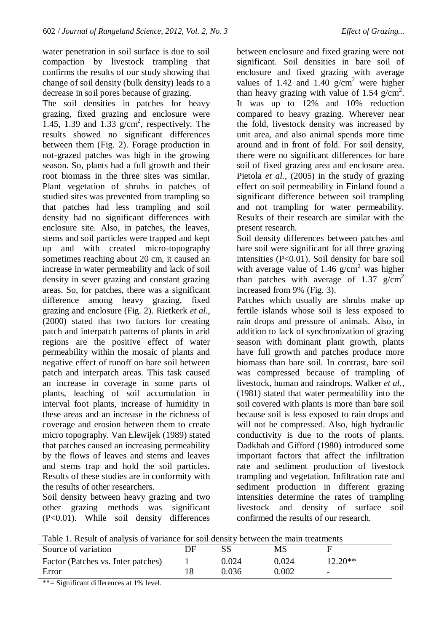water penetration in soil surface is due to soil compaction by livestock trampling that confirms the results of our study showing that change of soil density (bulk density) leads to a decrease in soil pores because of grazing.

The soil densities in patches for heavy grazing, fixed grazing and enclosure were 1.45, 1.39 and 1.33  $g/cm^2$ , respectively. The results showed no significant differences between them (Fig. 2). Forage production in not-grazed patches was high in the growing season. So, plants had a full growth and their root biomass in the three sites was similar. Plant vegetation of shrubs in patches of studied sites was prevented from trampling so that patches had less trampling and soil density had no significant differences with enclosure site. Also, in patches, the leaves, stems and soil particles were trapped and kept up and with created micro-topography sometimes reaching about 20 cm, it caused an increase in water permeability and lack of soil density in sever grazing and constant grazing areas. So, for patches, there was a significant difference among heavy grazing, fixed grazing and enclosure (Fig. 2). Rietkerk *et al.,* (2000) stated that two factors for creating patch and interpatch patterns of plants in arid regions are the positive effect of water permeability within the mosaic of plants and negative effect of runoff on bare soil between patch and interpatch areas. This task caused an increase in coverage in some parts of plants, leaching of soil accumulation in interval foot plants, increase of humidity in these areas and an increase in the richness of coverage and erosion between them to create micro topography. Van Elewijek (1989) stated that patches caused an increasing permeability by the flows of leaves and stems and leaves and stems trap and hold the soil particles. Results of these studies are in conformity with the results of other researchers.

Soil density between heavy grazing and two other grazing methods was significant (P<0.01). While soil density differences

between enclosure and fixed grazing were not significant. Soil densities in bare soil of enclosure and fixed grazing with average values of 1.42 and 1.40  $g/cm<sup>2</sup>$  were higher than heavy grazing with value of 1.54  $g/cm<sup>2</sup>$ . It was up to 12% and 10% reduction compared to heavy grazing. Wherever near the fold, livestock density was increased by unit area, and also animal spends more time around and in front of fold. For soil density, there were no significant differences for bare soil of fixed grazing area and enclosure area. Pietola *et al.,* (2005) in the study of grazing effect on soil permeability in Finland found a significant difference between soil trampling and not trampling for water permeability. Results of their research are similar with the present research.

Soil density differences between patches and bare soil were significant for all three grazing intensities (P<0.01). Soil density for bare soil with average value of 1.46  $g/cm<sup>2</sup>$  was higher than patches with average of 1.37  $g/cm<sup>2</sup>$ increased from 9% (Fig. 3).

Patches which usually are shrubs make up fertile islands whose soil is less exposed to rain drops and pressure of animals. Also, in addition to lack of synchronization of grazing season with dominant plant growth, plants have full growth and patches produce more biomass than bare soil. In contrast, bare soil was compressed because of trampling of livestock, human and raindrops. Walker *et al.,* (1981) stated that water permeability into the soil covered with plants is more than bare soil because soil is less exposed to rain drops and will not be compressed. Also, high hydraulic conductivity is due to the roots of plants. Dadkhah and Gifford (1980) introduced some important factors that affect the infiltration rate and sediment production of livestock trampling and vegetation. Infiltration rate and sediment production in different grazing intensities determine the rates of trampling livestock and density of surface soil confirmed the results of our research.

Table 1. Result of analysis of variance for soil density between the main treatments

| Source of variation                | ЭF |       | MS        |                          |
|------------------------------------|----|-------|-----------|--------------------------|
| Factor (Patches vs. Inter patches) |    | 0.024 | 0.024     | $12.20**$                |
| Error                              |    | 0.036 | $0.002\,$ | $\overline{\phantom{0}}$ |

\*\*= Significant differences at 1% level.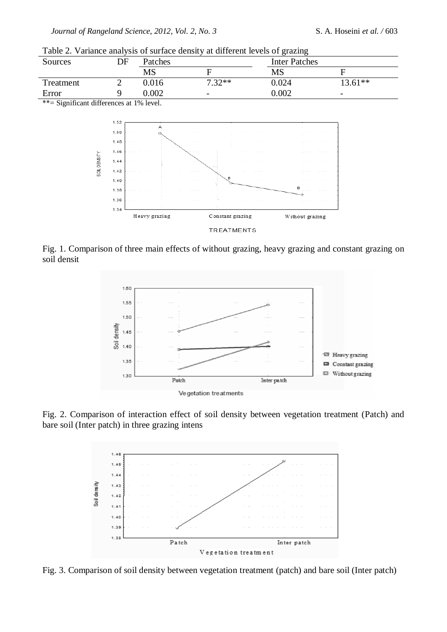Table 2. Variance analysis of surface density at different levels of grazing

| Sources                                                                                                                                                                                                                                                                                                             | ЭF | Patches |                          | <b>Inter Patches</b> |           |  |
|---------------------------------------------------------------------------------------------------------------------------------------------------------------------------------------------------------------------------------------------------------------------------------------------------------------------|----|---------|--------------------------|----------------------|-----------|--|
|                                                                                                                                                                                                                                                                                                                     |    | MS      |                          | MS                   |           |  |
| Treatment                                                                                                                                                                                                                                                                                                           |    | 0.016   | $7.32**$                 | 0.024                | $13.61**$ |  |
| Error                                                                                                                                                                                                                                                                                                               |    | 0.002   | $\overline{\phantom{0}}$ | 0.002                | -         |  |
| $\frac{1}{2}$ $\frac{1}{2}$ $\frac{1}{2}$ $\frac{1}{2}$ $\frac{1}{2}$ $\frac{1}{2}$ $\frac{1}{2}$ $\frac{1}{2}$ $\frac{1}{2}$ $\frac{1}{2}$ $\frac{1}{2}$ $\frac{1}{2}$ $\frac{1}{2}$ $\frac{1}{2}$ $\frac{1}{2}$ $\frac{1}{2}$ $\frac{1}{2}$ $\frac{1}{2}$ $\frac{1}{2}$ $\frac{1}{2}$ $\frac{1}{2}$ $\frac{1}{2}$ |    |         |                          |                      |           |  |

\*\*= Significant differences at 1% level.



Fig. 1. Comparison of three main effects of without grazing, heavy grazing and constant grazing on soil densit



Fig. 2. Comparison of interaction effect of soil density between vegetation treatment (Patch) and bare soil (Inter patch) in three grazing intens



Fig. 3. Comparison of soil density between vegetation treatment (patch) and bare soil (Inter patch)